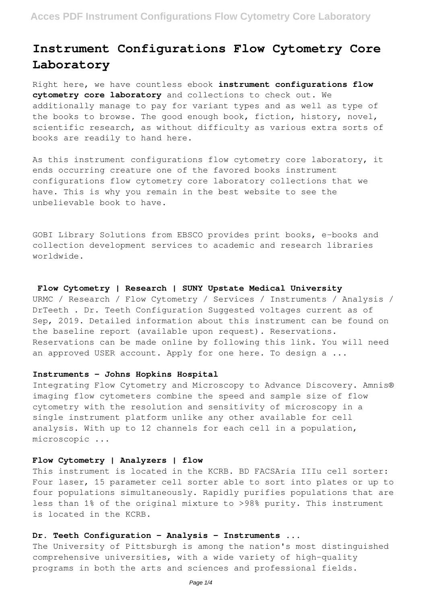# **Instrument Configurations Flow Cytometry Core Laboratory**

Right here, we have countless ebook **instrument configurations flow cytometry core laboratory** and collections to check out. We additionally manage to pay for variant types and as well as type of the books to browse. The good enough book, fiction, history, novel, scientific research, as without difficulty as various extra sorts of books are readily to hand here.

As this instrument configurations flow cytometry core laboratory, it ends occurring creature one of the favored books instrument configurations flow cytometry core laboratory collections that we have. This is why you remain in the best website to see the unbelievable book to have.

GOBI Library Solutions from EBSCO provides print books, e-books and collection development services to academic and research libraries worldwide.

### **Flow Cytometry | Research | SUNY Upstate Medical University**

URMC / Research / Flow Cytometry / Services / Instruments / Analysis / DrTeeth . Dr. Teeth Configuration Suggested voltages current as of Sep, 2019. Detailed information about this instrument can be found on the baseline report (available upon request). Reservations. Reservations can be made online by following this link. You will need an approved USER account. Apply for one here. To design a ...

## **Instruments - Johns Hopkins Hospital**

Integrating Flow Cytometry and Microscopy to Advance Discovery. Amnis® imaging flow cytometers combine the speed and sample size of flow cytometry with the resolution and sensitivity of microscopy in a single instrument platform unlike any other available for cell analysis. With up to 12 channels for each cell in a population, microscopic ...

# **Flow Cytometry | Analyzers | flow**

This instrument is located in the KCRB. BD FACSAria IIIu cell sorter: Four laser, 15 parameter cell sorter able to sort into plates or up to four populations simultaneously. Rapidly purifies populations that are less than 1% of the original mixture to >98% purity. This instrument is located in the KCRB.

### **Dr. Teeth Configuration - Analysis - Instruments ...**

The University of Pittsburgh is among the nation's most distinguished comprehensive universities, with a wide variety of high-quality programs in both the arts and sciences and professional fields.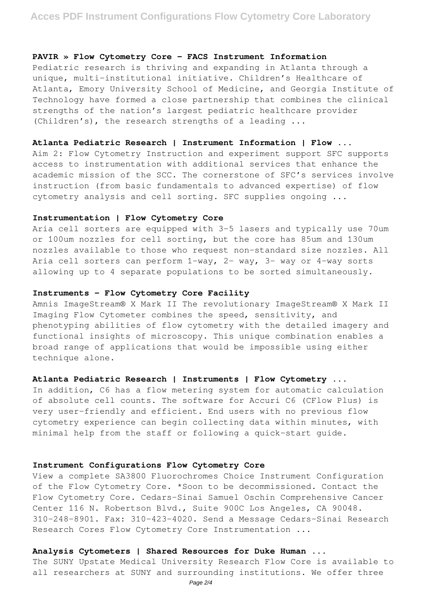### **PAVIR » Flow Cytometry Core – FACS Instrument Information**

Pediatric research is thriving and expanding in Atlanta through a unique, multi-institutional initiative. Children's Healthcare of Atlanta, Emory University School of Medicine, and Georgia Institute of Technology have formed a close partnership that combines the clinical strengths of the nation's largest pediatric healthcare provider (Children's), the research strengths of a leading ...

### **Atlanta Pediatric Research | Instrument Information | Flow ...**

Aim 2: Flow Cytometry Instruction and experiment support SFC supports access to instrumentation with additional services that enhance the academic mission of the SCC. The cornerstone of SFC's services involve instruction (from basic fundamentals to advanced expertise) of flow cytometry analysis and cell sorting. SFC supplies ongoing ...

## **Instrumentation | Flow Cytometry Core**

Aria cell sorters are equipped with 3-5 lasers and typically use 70um or 100um nozzles for cell sorting, but the core has 85um and 130um nozzles available to those who request non-standard size nozzles. All Aria cell sorters can perform 1-way, 2- way, 3- way or 4-way sorts allowing up to 4 separate populations to be sorted simultaneously.

# **Instruments - Flow Cytometry Core Facility**

Amnis ImageStream® X Mark II The revolutionary ImageStream® X Mark II Imaging Flow Cytometer combines the speed, sensitivity, and phenotyping abilities of flow cytometry with the detailed imagery and functional insights of microscopy. This unique combination enables a broad range of applications that would be impossible using either technique alone.

# **Atlanta Pediatric Research | Instruments | Flow Cytometry ...**

In addition, C6 has a flow metering system for automatic calculation of absolute cell counts. The software for Accuri C6 (CFlow Plus) is very user-friendly and efficient. End users with no previous flow cytometry experience can begin collecting data within minutes, with minimal help from the staff or following a quick-start guide.

### **Instrument Configurations Flow Cytometry Core**

View a complete SA3800 Fluorochromes Choice Instrument Configuration of the Flow Cytometry Core. \*Soon to be decommissioned. Contact the Flow Cytometry Core. Cedars-Sinai Samuel Oschin Comprehensive Cancer Center 116 N. Robertson Blvd., Suite 900C Los Angeles, CA 90048. 310-248-8901. Fax: 310-423-4020. Send a Message Cedars-Sinai Research Research Cores Flow Cytometry Core Instrumentation ...

# **Analysis Cytometers | Shared Resources for Duke Human ...**

The SUNY Upstate Medical University Research Flow Core is available to all researchers at SUNY and surrounding institutions. We offer three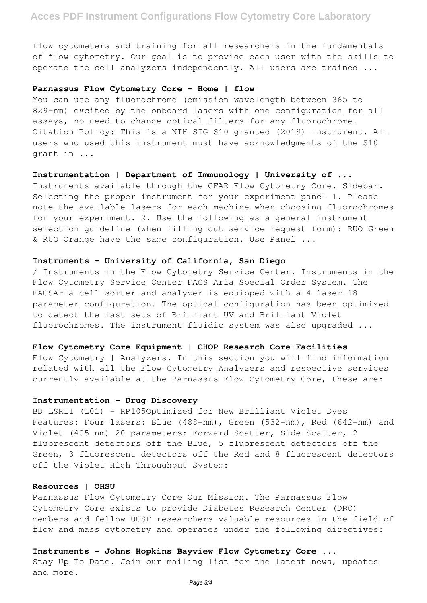# **Acces PDF Instrument Configurations Flow Cytometry Core Laboratory**

flow cytometers and training for all researchers in the fundamentals of flow cytometry. Our goal is to provide each user with the skills to operate the cell analyzers independently. All users are trained ...

### **Parnassus Flow Cytometry Core - Home | flow**

You can use any fluorochrome (emission wavelength between 365 to 829-nm) excited by the onboard lasers with one configuration for all assays, no need to change optical filters for any fluorochrome. Citation Policy: This is a NIH SIG S10 granted (2019) instrument. All users who used this instrument must have acknowledgments of the S10 grant in ...

### **Instrumentation | Department of Immunology | University of ...**

Instruments available through the CFAR Flow Cytometry Core. Sidebar. Selecting the proper instrument for your experiment panel 1. Please note the available lasers for each machine when choosing fluorochromes for your experiment. 2. Use the following as a general instrument selection guideline (when filling out service request form): RUO Green & RUO Orange have the same configuration. Use Panel ...

### **Instruments - University of California, San Diego**

/ Instruments in the Flow Cytometry Service Center. Instruments in the Flow Cytometry Service Center FACS Aria Special Order System. The FACSAria cell sorter and analyzer is equipped with a 4 laser-18 parameter configuration. The optical configuration has been optimized to detect the last sets of Brilliant UV and Brilliant Violet fluorochromes. The instrument fluidic system was also upgraded ...

#### **Flow Cytometry Core Equipment | CHOP Research Core Facilities**

Flow Cytometry | Analyzers. In this section you will find information related with all the Flow Cytometry Analyzers and respective services currently available at the Parnassus Flow Cytometry Core, these are:

# **Instrumentation - Drug Discovery**

BD LSRII (L01) - RP105Optimized for New Brilliant Violet Dyes Features: Four lasers: Blue (488-nm), Green (532-nm), Red (642-nm) and Violet (405-nm) 20 parameters: Forward Scatter, Side Scatter, 2 fluorescent detectors off the Blue, 5 fluorescent detectors off the Green, 3 fluorescent detectors off the Red and 8 fluorescent detectors off the Violet High Throughput System:

## **Resources | OHSU**

Parnassus Flow Cytometry Core Our Mission. The Parnassus Flow Cytometry Core exists to provide Diabetes Research Center (DRC) members and fellow UCSF researchers valuable resources in the field of flow and mass cytometry and operates under the following directives:

## **Instruments - Johns Hopkins Bayview Flow Cytometry Core ...**

Stay Up To Date. Join our mailing list for the latest news, updates and more.